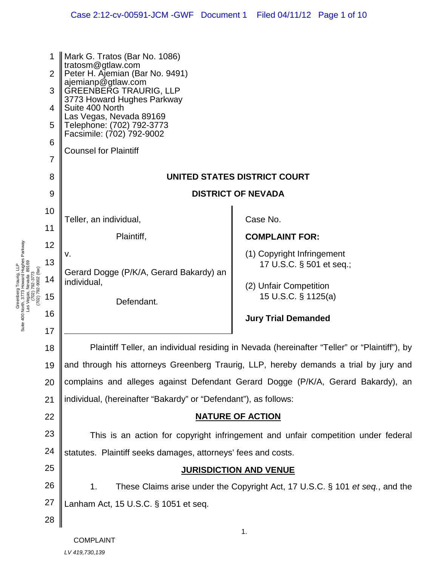|    | 1<br>$\overline{2}$<br>3<br>4<br>5<br>6<br>$\overline{7}$ | Mark G. Tratos (Bar No. 1086)<br>tratosm@gtlaw.com<br>Peter H. Ajemian (Bar No. 9491)<br>ajemianp@gtlaw.com<br>GREENBERG TRAURIG, LLP<br>3773 Howard Hughes Parkway<br>Suite 400 North<br>Las Vegas, Nevada 89169<br>Telephone: (702) 792-3773<br>Facsimile: (702) 792-9002<br><b>Counsel for Plaintiff</b> |                                               |  |
|----|-----------------------------------------------------------|-------------------------------------------------------------------------------------------------------------------------------------------------------------------------------------------------------------------------------------------------------------------------------------------------------------|-----------------------------------------------|--|
|    | 8<br>9                                                    | UNITED STATES DISTRICT COURT<br><b>DISTRICT OF NEVADA</b>                                                                                                                                                                                                                                                   |                                               |  |
| 10 |                                                           |                                                                                                                                                                                                                                                                                                             |                                               |  |
| 11 |                                                           | Teller, an individual,                                                                                                                                                                                                                                                                                      | Case No.                                      |  |
| 12 |                                                           | Plaintiff,                                                                                                                                                                                                                                                                                                  | <b>COMPLAINT FOR:</b>                         |  |
|    | 13                                                        | ν.                                                                                                                                                                                                                                                                                                          | (1) Copyright Infringement                    |  |
|    | 14                                                        | Gerard Dogge (P/K/A, Gerard Bakardy) an                                                                                                                                                                                                                                                                     | 17 U.S.C. § 501 et seq.;                      |  |
|    | 15                                                        | individual,                                                                                                                                                                                                                                                                                                 | (2) Unfair Competition<br>15 U.S.C. § 1125(a) |  |
| 16 |                                                           | Defendant.                                                                                                                                                                                                                                                                                                  |                                               |  |
| 17 |                                                           |                                                                                                                                                                                                                                                                                                             | <b>Jury Trial Demanded</b>                    |  |
| 18 |                                                           | Plaintiff Teller, an individual residing in Nevada (hereinafter "Teller" or "Plaintiff"), by                                                                                                                                                                                                                |                                               |  |
|    | 19                                                        | and through his attorneys Greenberg Traurig, LLP, hereby demands a trial by jury and                                                                                                                                                                                                                        |                                               |  |
| 20 |                                                           | complains and alleges against Defendant Gerard Dogge (P/K/A, Gerard Bakardy), an                                                                                                                                                                                                                            |                                               |  |
| 21 |                                                           | individual, (hereinafter "Bakardy" or "Defendant"), as follows:                                                                                                                                                                                                                                             |                                               |  |
| 22 |                                                           | <b>NATURE OF ACTION</b>                                                                                                                                                                                                                                                                                     |                                               |  |
| 23 |                                                           | This is an action for copyright infringement and unfair competition under federal                                                                                                                                                                                                                           |                                               |  |
| 24 |                                                           | statutes. Plaintiff seeks damages, attorneys' fees and costs.                                                                                                                                                                                                                                               |                                               |  |
| 25 |                                                           | <b>JURISDICTION AND VENUE</b>                                                                                                                                                                                                                                                                               |                                               |  |
| 26 |                                                           | These Claims arise under the Copyright Act, 17 U.S.C. § 101 et seq., and the<br>1.                                                                                                                                                                                                                          |                                               |  |
| 27 |                                                           | Lanham Act, 15 U.S.C. § 1051 et seq.                                                                                                                                                                                                                                                                        |                                               |  |
| 28 |                                                           |                                                                                                                                                                                                                                                                                                             |                                               |  |
|    |                                                           |                                                                                                                                                                                                                                                                                                             | 1.                                            |  |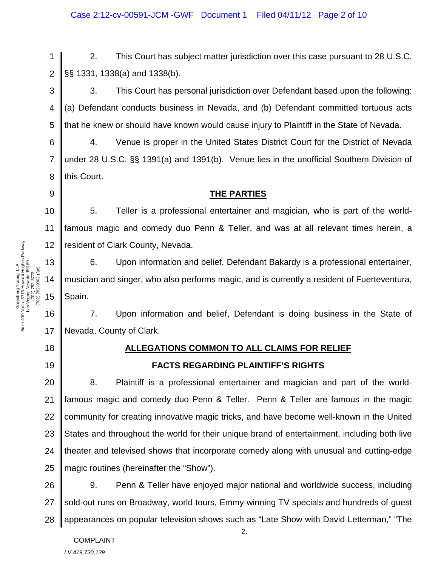2. This Court has subject matter jurisdiction over this case pursuant to 28 U.S.C. §§ 1331, 1338(a) and 1338(b).

3 4 5 3. This Court has personal jurisdiction over Defendant based upon the following: (a) Defendant conducts business in Nevada, and (b) Defendant committed tortuous acts that he knew or should have known would cause injury to Plaintiff in the State of Nevada.

4. Venue is proper in the United States District Court for the District of Nevada under 28 U.S.C. §§ 1391(a) and 1391(b). Venue lies in the unofficial Southern Division of this Court.

#### **THE PARTIES**

10 12 5. Teller is a professional entertainer and magician, who is part of the worldfamous magic and comedy duo Penn & Teller, and was at all relevant times herein, a resident of Clark County, Nevada.

6. Upon information and belief, Defendant Bakardy is a professional entertainer, musician and singer, who also performs magic, and is currently a resident of Fuerteventura, Spain.

16 17 7. Upon information and belief, Defendant is doing business in the State of Nevada, County of Clark.

# 18

19

1

2

6

7

8

9

11

## **ALLEGATIONS COMMON TO ALL CLAIMS FOR RELIEF**

**FACTS REGARDING PLAINTIFF'S RIGHTS**

20 21 22 23 24 25 8. Plaintiff is a professional entertainer and magician and part of the worldfamous magic and comedy duo Penn & Teller. Penn & Teller are famous in the magic community for creating innovative magic tricks, and have become well-known in the United States and throughout the world for their unique brand of entertainment, including both live theater and televised shows that incorporate comedy along with unusual and cutting-edge magic routines (hereinafter the "Show").

26 27 28 9. Penn & Teller have enjoyed major national and worldwide success, including sold-out runs on Broadway, world tours, Emmy-winning TV specials and hundreds of guest appearances on popular television shows such as "Late Show with David Letterman," "The

Greenberg Traurig, LLP<br>Suite 400 North, 3773 Howard Hughes Parkway<br>Las Vegas, Nevada 89169<br>(702) 792-9002 (tax) Suite 400 North, 3773 Howard Hughes Parkway 13 Las Vegas, Nevada 89169 Greenberg Traurig, LLP (702) 792-9002 (fax) (702) 792-3773 14 15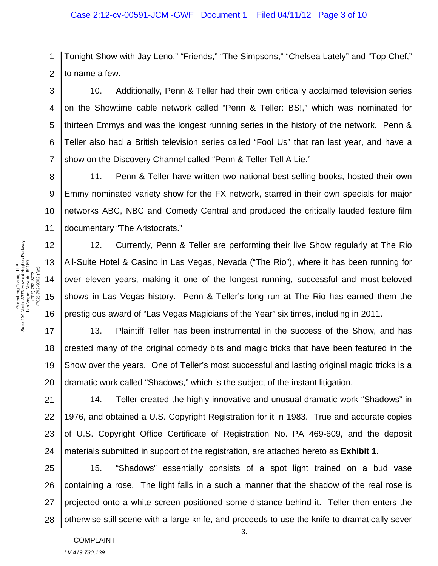2 Tonight Show with Jay Leno," "Friends," "The Simpsons," "Chelsea Lately" and "Top Chef," to name a few.

3 4 5 6 7 10. Additionally, Penn & Teller had their own critically acclaimed television series on the Showtime cable network called "Penn & Teller: BS!," which was nominated for thirteen Emmys and was the longest running series in the history of the network. Penn & Teller also had a British television series called "Fool Us" that ran last year, and have a show on the Discovery Channel called "Penn & Teller Tell A Lie."

8 9 10 11 11. Penn & Teller have written two national best-selling books, hosted their own Emmy nominated variety show for the FX network, starred in their own specials for major networks ABC, NBC and Comedy Central and produced the critically lauded feature film documentary "The Aristocrats."

12. Currently, Penn & Teller are performing their live Show regularly at The Rio All-Suite Hotel & Casino in Las Vegas, Nevada ("The Rio"), where it has been running for over eleven years, making it one of the longest running, successful and most-beloved shows in Las Vegas history. Penn & Teller's long run at The Rio has earned them the prestigious award of "Las Vegas Magicians of the Year" six times, including in 2011.

18 19 20 13. Plaintiff Teller has been instrumental in the success of the Show, and has created many of the original comedy bits and magic tricks that have been featured in the Show over the years. One of Teller's most successful and lasting original magic tricks is a dramatic work called "Shadows," which is the subject of the instant litigation.

21 22 23 24 14. Teller created the highly innovative and unusual dramatic work "Shadows" in 1976, and obtained a U.S. Copyright Registration for it in 1983. True and accurate copies of U.S. Copyright Office Certificate of Registration No. PA 469-609, and the deposit materials submitted in support of the registration, are attached hereto as **Exhibit 1**.

25 26 27 28 15. "Shadows" essentially consists of a spot light trained on a bud vase containing a rose. The light falls in a such a manner that the shadow of the real rose is projected onto a white screen positioned some distance behind it. Teller then enters the otherwise still scene with a large knife, and proceeds to use the knife to dramatically sever

1

COMPLAINT *LV 419,730,139*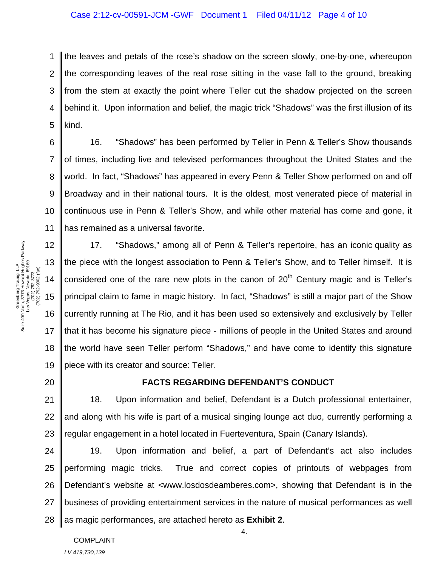1 2 3 4 5 the leaves and petals of the rose's shadow on the screen slowly, one-by-one, whereupon the corresponding leaves of the real rose sitting in the vase fall to the ground, breaking from the stem at exactly the point where Teller cut the shadow projected on the screen behind it. Upon information and belief, the magic trick "Shadows" was the first illusion of its kind.

6 8 10 16. "Shadows" has been performed by Teller in Penn & Teller's Show thousands of times, including live and televised performances throughout the United States and the world. In fact, "Shadows" has appeared in every Penn & Teller Show performed on and off Broadway and in their national tours. It is the oldest, most venerated piece of material in continuous use in Penn & Teller's Show, and while other material has come and gone, it has remained as a universal favorite.

12 18 19 17. "Shadows," among all of Penn & Teller's repertoire, has an iconic quality as the piece with the longest association to Penn & Teller's Show, and to Teller himself. It is considered one of the rare new plots in the canon of  $20<sup>th</sup>$  Century magic and is Teller's principal claim to fame in magic history. In fact, "Shadows" is still a major part of the Show currently running at The Rio, and it has been used so extensively and exclusively by Teller that it has become his signature piece - millions of people in the United States and around the world have seen Teller perform "Shadows," and have come to identify this signature piece with its creator and source: Teller.

20

7

9

11

#### **FACTS REGARDING DEFENDANT'S CONDUCT**

21 22 23 18. Upon information and belief, Defendant is a Dutch professional entertainer, and along with his wife is part of a musical singing lounge act duo, currently performing a regular engagement in a hotel located in Fuerteventura, Spain (Canary Islands).

24 25 26 27 28 19. Upon information and belief, a part of Defendant's act also includes performing magic tricks. True and correct copies of printouts of webpages from Defendant's website at <www.losdosdeamberes.com>, showing that Defendant is in the business of providing entertainment services in the nature of musical performances as well as magic performances, are attached hereto as **Exhibit 2**.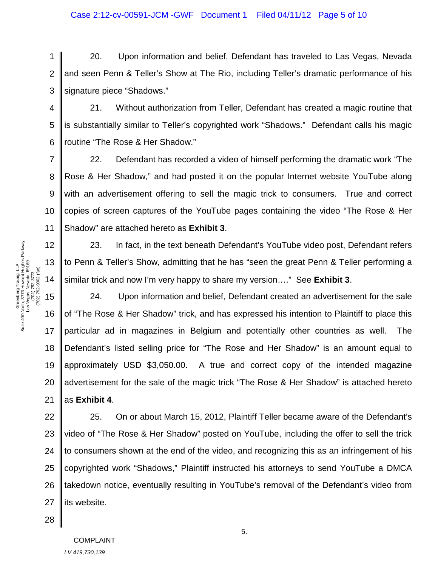1 2 3 20. Upon information and belief, Defendant has traveled to Las Vegas, Nevada and seen Penn & Teller's Show at The Rio, including Teller's dramatic performance of his signature piece "Shadows."

4 5 6 21. Without authorization from Teller, Defendant has created a magic routine that is substantially similar to Teller's copyrighted work "Shadows." Defendant calls his magic routine "The Rose & Her Shadow."

8 10 22. Defendant has recorded a video of himself performing the dramatic work "The Rose & Her Shadow," and had posted it on the popular Internet website YouTube along with an advertisement offering to sell the magic trick to consumers. True and correct copies of screen captures of the YouTube pages containing the video "The Rose & Her Shadow" are attached hereto as **Exhibit 3**.

23. In fact, in the text beneath Defendant's YouTube video post, Defendant refers to Penn & Teller's Show, admitting that he has "seen the great Penn & Teller performing a similar trick and now I'm very happy to share my version…." See **Exhibit 3**.

24. Upon information and belief, Defendant created an advertisement for the sale of "The Rose & Her Shadow" trick, and has expressed his intention to Plaintiff to place this particular ad in magazines in Belgium and potentially other countries as well. The Defendant's listed selling price for "The Rose and Her Shadow" is an amount equal to approximately USD \$3,050.00. A true and correct copy of the intended magazine advertisement for the sale of the magic trick "The Rose & Her Shadow" is attached hereto as **Exhibit 4**.

22 23 24 25 26 27 25. On or about March 15, 2012, Plaintiff Teller became aware of the Defendant's video of "The Rose & Her Shadow" posted on YouTube, including the offer to sell the trick to consumers shown at the end of the video, and recognizing this as an infringement of his copyrighted work "Shadows," Plaintiff instructed his attorneys to send YouTube a DMCA takedown notice, eventually resulting in YouTube's removal of the Defendant's video from its website.

7

9

11

18

19

20

21

28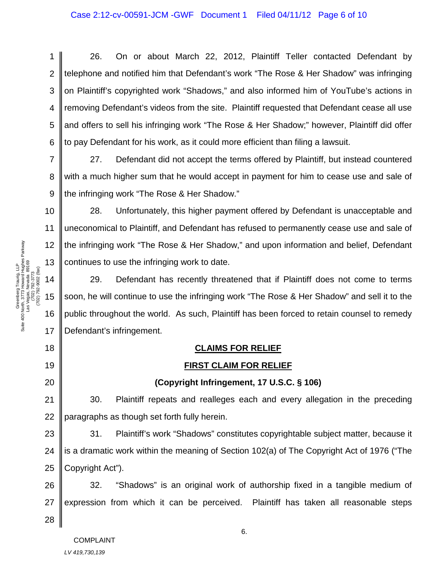2 3 4 5 6 26. On or about March 22, 2012, Plaintiff Teller contacted Defendant by telephone and notified him that Defendant's work "The Rose & Her Shadow" was infringing on Plaintiff's copyrighted work "Shadows," and also informed him of YouTube's actions in removing Defendant's videos from the site. Plaintiff requested that Defendant cease all use and offers to sell his infringing work "The Rose & Her Shadow;" however, Plaintiff did offer to pay Defendant for his work, as it could more efficient than filing a lawsuit.

27. Defendant did not accept the terms offered by Plaintiff, but instead countered with a much higher sum that he would accept in payment for him to cease use and sale of the infringing work "The Rose & Her Shadow."

28. Unfortunately, this higher payment offered by Defendant is unacceptable and uneconomical to Plaintiff, and Defendant has refused to permanently cease use and sale of the infringing work "The Rose & Her Shadow," and upon information and belief, Defendant continues to use the infringing work to date.

29. Defendant has recently threatened that if Plaintiff does not come to terms soon, he will continue to use the infringing work "The Rose & Her Shadow" and sell it to the public throughout the world. As such, Plaintiff has been forced to retain counsel to remedy Defendant's infringement.

## **CLAIMS FOR RELIEF**

## **FIRST CLAIM FOR RELIEF**

#### **(Copyright Infringement, 17 U.S.C. § 106)**

21 22 30. Plaintiff repeats and realleges each and every allegation in the preceding paragraphs as though set forth fully herein.

23 24 25 31. Plaintiff's work "Shadows" constitutes copyrightable subject matter, because it is a dramatic work within the meaning of Section 102(a) of The Copyright Act of 1976 ("The Copyright Act").

26 27 32. "Shadows" is an original work of authorship fixed in a tangible medium of expression from which it can be perceived. Plaintiff has taken all reasonable steps

28

6.

Greenberg Traurig, LLP<br>Suite 400 North, 3773 Howard Hughes Parkway<br>Las Vegas, Nevada 89169<br>(702) 792-9002 (tax) Suite 400 North, 3773 Howard Hughes Parkway Las Vegas, Nevada 89169 Greenberg Traurig, LLP (702) 792-9002 (fax) (702) 792-3773

1

7

8

9

10

11

12

13

14

15

16

17

18

19

20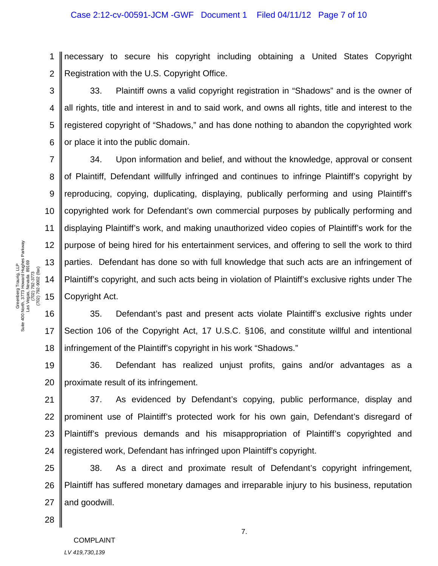1 2 necessary to secure his copyright including obtaining a United States Copyright Registration with the U.S. Copyright Office.

3 4 5 6 33. Plaintiff owns a valid copyright registration in "Shadows" and is the owner of all rights, title and interest in and to said work, and owns all rights, title and interest to the registered copyright of "Shadows," and has done nothing to abandon the copyrighted work or place it into the public domain.

34. Upon information and belief, and without the knowledge, approval or consent of Plaintiff, Defendant willfully infringed and continues to infringe Plaintiff's copyright by reproducing, copying, duplicating, displaying, publically performing and using Plaintiff's copyrighted work for Defendant's own commercial purposes by publically performing and displaying Plaintiff's work, and making unauthorized video copies of Plaintiff's work for the purpose of being hired for his entertainment services, and offering to sell the work to third parties. Defendant has done so with full knowledge that such acts are an infringement of Plaintiff's copyright, and such acts being in violation of Plaintiff's exclusive rights under The Copyright Act.

16 35. Defendant's past and present acts violate Plaintiff's exclusive rights under Section 106 of the Copyright Act, 17 U.S.C. §106, and constitute willful and intentional infringement of the Plaintiff's copyright in his work "Shadows."

19 20 36. Defendant has realized unjust profits, gains and/or advantages as a proximate result of its infringement.

21 22 23 24 37. As evidenced by Defendant's copying, public performance, display and prominent use of Plaintiff's protected work for his own gain, Defendant's disregard of Plaintiff's previous demands and his misappropriation of Plaintiff's copyrighted and registered work, Defendant has infringed upon Plaintiff's copyright.

25 26 27 38. As a direct and proximate result of Defendant's copyright infringement, Plaintiff has suffered monetary damages and irreparable injury to his business, reputation and goodwill.

7

8

9

10

11

12

13

14

15

17

18

28

COMPLAINT *LV 419,730,139*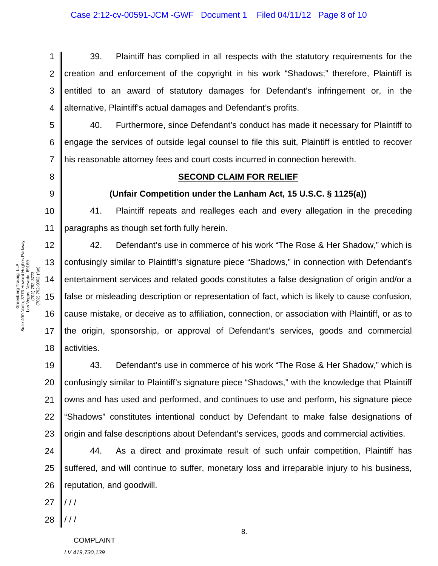1 2 3 4 39. Plaintiff has complied in all respects with the statutory requirements for the creation and enforcement of the copyright in his work "Shadows;" therefore, Plaintiff is entitled to an award of statutory damages for Defendant's infringement or, in the alternative, Plaintiff's actual damages and Defendant's profits.

40. Furthermore, since Defendant's conduct has made it necessary for Plaintiff to engage the services of outside legal counsel to file this suit, Plaintiff is entitled to recover his reasonable attorney fees and court costs incurred in connection herewith.

#### 8

5

6

7

9

10

11

12

13

14

15

16

17

18

#### **SECOND CLAIM FOR RELIEF**

#### **(Unfair Competition under the Lanham Act, 15 U.S.C. § 1125(a))**

41. Plaintiff repeats and realleges each and every allegation in the preceding paragraphs as though set forth fully herein.

42. Defendant's use in commerce of his work "The Rose & Her Shadow," which is confusingly similar to Plaintiff's signature piece "Shadows," in connection with Defendant's entertainment services and related goods constitutes a false designation of origin and/or a false or misleading description or representation of fact, which is likely to cause confusion, cause mistake, or deceive as to affiliation, connection, or association with Plaintiff, or as to the origin, sponsorship, or approval of Defendant's services, goods and commercial activities.

19 20 21 22 23 43. Defendant's use in commerce of his work "The Rose & Her Shadow," which is confusingly similar to Plaintiff's signature piece "Shadows," with the knowledge that Plaintiff owns and has used and performed, and continues to use and perform, his signature piece "Shadows" constitutes intentional conduct by Defendant to make false designations of origin and false descriptions about Defendant's services, goods and commercial activities.

24 25 26 44. As a direct and proximate result of such unfair competition, Plaintiff has suffered, and will continue to suffer, monetary loss and irreparable injury to his business, reputation, and goodwill.

27  $/$  /  $/$ 

28 / / /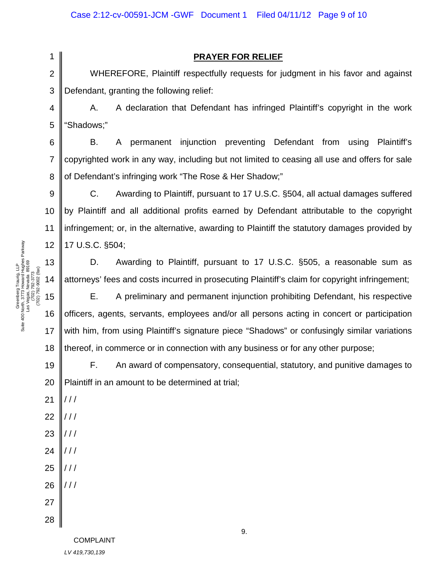2

1

9

11

13

14

15

17

18

### **PRAYER FOR RELIEF**

3 WHEREFORE, Plaintiff respectfully requests for judgment in his favor and against Defendant, granting the following relief:

4 5 A. A declaration that Defendant has infringed Plaintiff's copyright in the work "Shadows;"

6 7 8 B. A permanent injunction preventing Defendant from using Plaintiff's copyrighted work in any way, including but not limited to ceasing all use and offers for sale of Defendant's infringing work "The Rose & Her Shadow;"

10 12 C. Awarding to Plaintiff, pursuant to 17 U.S.C. §504, all actual damages suffered by Plaintiff and all additional profits earned by Defendant attributable to the copyright infringement; or, in the alternative, awarding to Plaintiff the statutory damages provided by 17 U.S.C. §504;

D. Awarding to Plaintiff, pursuant to 17 U.S.C. §505, a reasonable sum as attorneys' fees and costs incurred in prosecuting Plaintiff's claim for copyright infringement;

16 E. A preliminary and permanent injunction prohibiting Defendant, his respective officers, agents, servants, employees and/or all persons acting in concert or participation with him, from using Plaintiff's signature piece "Shadows" or confusingly similar variations thereof, in commerce or in connection with any business or for any other purpose;

19 F. An award of compensatory, consequential, statutory, and punitive damages to Plaintiff in an amount to be determined at trial;

9.

Greenberg Traurig, LLP<br>Suite 400 North, 3773 Howard Hughes Parkway<br>Las Vegas, Nevada 89169<br>(702) 792-9002 (tax) Suite 400 North, 3773 Howard Hughes Parkway Las Vegas, Nevada 89169 Greenberg Traurig, LLP (702) 792-9002 (fax) (702) 792-3773